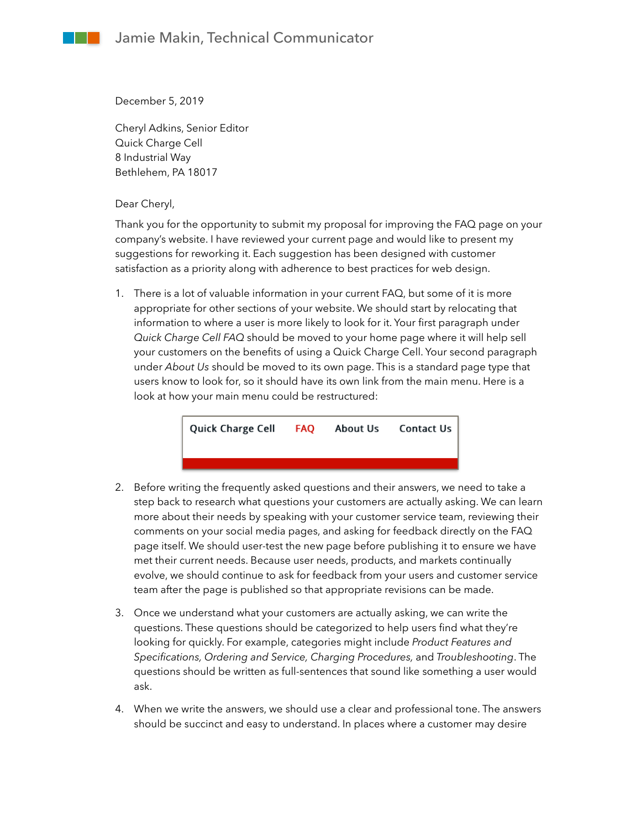December 5, 2019

Cheryl Adkins, Senior Editor Quick Charge Cell 8 Industrial Way Bethlehem, PA 18017

Dear Cheryl,

Thank you for the opportunity to submit my proposal for improving the FAQ page on your company's website. I have reviewed your current page and would like to present my suggestions for reworking it. Each suggestion has been designed with customer satisfaction as a priority along with adherence to best practices for web design.

1. There is a lot of valuable information in your current FAQ, but some of it is more appropriate for other sections of your website. We should start by relocating that information to where a user is more likely to look for it. Your first paragraph under *Quick Charge Cell FAQ* should be moved to your home page where it will help sell your customers on the benefits of using a Quick Charge Cell. Your second paragraph under *About Us* should be moved to its own page. This is a standard page type that users know to look for, so it should have its own link from the main menu. Here is a look at how your main menu could be restructured:



- 2. Before writing the frequently asked questions and their answers, we need to take a step back to research what questions your customers are actually asking. We can learn more about their needs by speaking with your customer service team, reviewing their comments on your social media pages, and asking for feedback directly on the FAQ page itself. We should user-test the new page before publishing it to ensure we have met their current needs. Because user needs, products, and markets continually evolve, we should continue to ask for feedback from your users and customer service team after the page is published so that appropriate revisions can be made.
- 3. Once we understand what your customers are actually asking, we can write the questions. These questions should be categorized to help users find what they're looking for quickly. For example, categories might include *Product Features and Specifications, Ordering and Service, Charging Procedures,* and *Troubleshooting*. The questions should be written as full-sentences that sound like something a user would ask.
- 4. When we write the answers, we should use a clear and professional tone. The answers should be succinct and easy to understand. In places where a customer may desire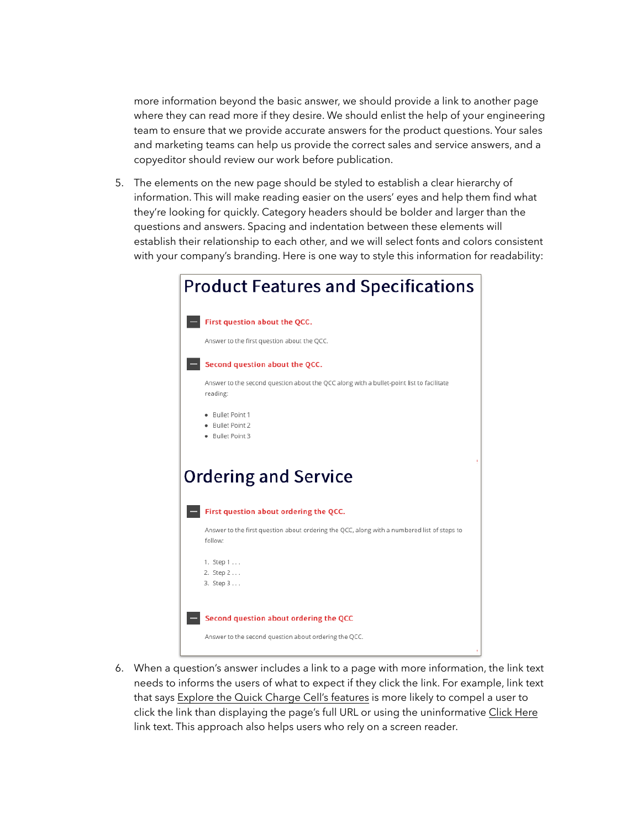more information beyond the basic answer, we should provide a link to another page where they can read more if they desire. We should enlist the help of your engineering team to ensure that we provide accurate answers for the product questions. Your sales and marketing teams can help us provide the correct sales and service answers, and a copyeditor should review our work before publication.

5. The elements on the new page should be styled to establish a clear hierarchy of information. This will make reading easier on the users' eyes and help them find what they're looking for quickly. Category headers should be bolder and larger than the questions and answers. Spacing and indentation between these elements will establish their relationship to each other, and we will select fonts and colors consistent with your company's branding. Here is one way to style this information for readability:

| <b>Product Features and Specifications</b>                                                             |  |  |
|--------------------------------------------------------------------------------------------------------|--|--|
| First question about the QCC.                                                                          |  |  |
| Answer to the first question about the QCC.                                                            |  |  |
| Second question about the QCC.                                                                         |  |  |
| Answer to the second question about the QCC along with a bullet-point list to facilitate<br>reading:   |  |  |
| · Bullet Point 1<br>· Bullet Point 2<br>· Bullet Point 3                                               |  |  |
| <b>Ordering and Service</b>                                                                            |  |  |
| First question about ordering the QCC.                                                                 |  |  |
| Answer to the first question about ordering the QCC, along with a numbered list of steps to<br>follow: |  |  |
| 1. Step 1<br>2. Step 2<br>3. Step 3                                                                    |  |  |
| Second question about ordering the QCC                                                                 |  |  |
| Answer to the second question about ordering the QCC.                                                  |  |  |

6. When a question's answer includes a link to a page with more information, the link text needs to informs the users of what to expect if they click the link. For example, link text that says Explore the Quick Charge Cell's features is more likely to compel a user to click the link than displaying the page's full URL or using the uninformative Click Here link text. This approach also helps users who rely on a screen reader.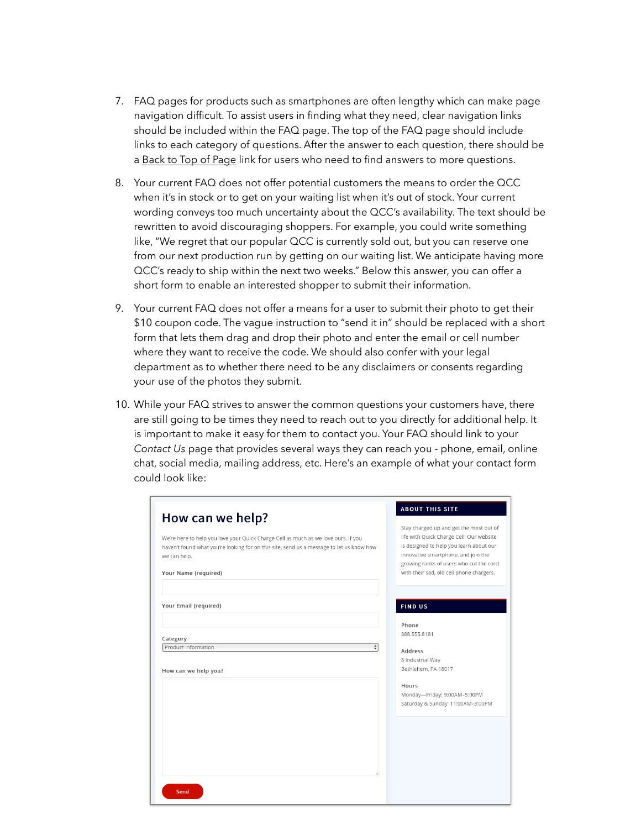- 7. FAQ pages for products such as smartphones are often lengthy which can make page navigation difficult. To assist users in finding what they need, clear navigation links should be included within the FAQ page. The top of the FAQ page should include links to each category of questions. After the answer to each question, there should be a Back to Top of Page link for users who need to find answers to more questions.
- 8. Your current FAQ does not offer potential customers the means to order the QCC when it's in stock or to get on your waiting list when it's out of stock. Your current wording conveys too much uncertainty about the QCC's availability. The text should be rewritten to avoid discouraging shoppers. For example, you could write something like, "We regret that our popular QCC is currently sold out, but you can reserve one from our next production run by getting on our waiting list. We anticipate having more QCC's ready to ship within the next two weeks." Below this answer, you can offer a short form to enable an interested shopper to submit their information.
- 9. Your current FAQ does not offer a means for a user to submit their photo to get their \$10 coupon code. The vague instruction to "send it in" should be replaced with a short form that lets them drag and drop their photo and enter the email or cell number where they want to receive the code. We should also confer with your legal department as to whether there need to be any disclaimers or consents regarding your use of the photos they submit.
- 10. While your FAQ strives to answer the common questions your customers have, there are still going to be times they need to reach out to you directly for additional help. It is important to make it easy for them to contact you. Your FAQ should link to your *Contact Us* page that provides several ways they can reach you - phone, email, online chat, social media, mailing address, etc. Here's an example of what your contact form could look like:

| How can we help?<br>We're here to help you love your Quick Charge Cell as much as we love ours. If you<br>haven't found what you're looking for on this site, send us a message to let us know how<br>we can help.<br>Your Name (required) | <b>ABOUT THIS SITE</b><br>Stay charged up and get the most out of<br>life with Quick Charge Cell! Our website<br>is designed to help you learn about our<br>innovative smartphone, and join the<br>growing ranks of users who cut the cord<br>with their sad, old cell phone chargers. |
|--------------------------------------------------------------------------------------------------------------------------------------------------------------------------------------------------------------------------------------------|----------------------------------------------------------------------------------------------------------------------------------------------------------------------------------------------------------------------------------------------------------------------------------------|
| Your Email (required)<br>Category<br>Product Information<br>$\frac{1}{\sqrt{2}}$<br>How can we help you?                                                                                                                                   | <b>FIND US</b><br>Phone<br>888.555.8181<br>Address<br>8 Industrial Way<br>Bethlehem, PA 18017<br>Hours<br>Monday-Friday: 9:00AM-5:00PM<br>Saturday & Sunday: 11:00AM-3:00PM                                                                                                            |
| Send                                                                                                                                                                                                                                       |                                                                                                                                                                                                                                                                                        |